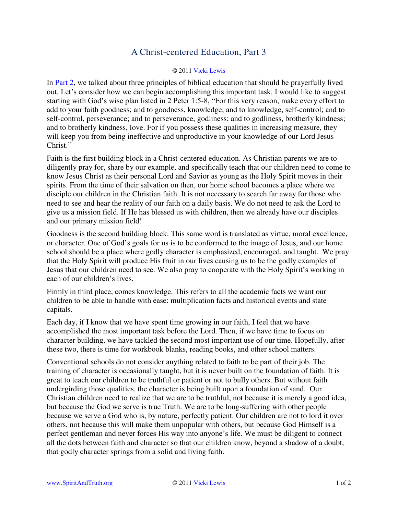## A Christ-centered Education, Part 3

## © 201[1 Vicki Lewis](http://www.spiritandtruth.org/id/vl.htm)

In [Part 2,](http://www.spiritandtruth.org/teaching/documents/articles/index.htm#75) we talked about three principles of biblical education that should be prayerfully lived out. Let's consider how we can begin accomplishing this important task. I would like to suggest starting with God's wise plan listed in 2 Peter 1:5-8, "For this very reason, make every effort to add to your faith goodness; and to goodness, knowledge; and to knowledge, self-control; and to self-control, perseverance; and to perseverance, godliness; and to godliness, brotherly kindness; and to brotherly kindness, love. For if you possess these qualities in increasing measure, they will keep you from being ineffective and unproductive in your knowledge of our Lord Jesus Christ."

Faith is the first building block in a Christ-centered education. As Christian parents we are to diligently pray for, share by our example, and specifically teach that our children need to come to know Jesus Christ as their personal Lord and Savior as young as the Holy Spirit moves in their spirits. From the time of their salvation on then, our home school becomes a place where we disciple our children in the Christian faith. It is not necessary to search far away for those who need to see and hear the reality of our faith on a daily basis. We do not need to ask the Lord to give us a mission field. If He has blessed us with children, then we already have our disciples and our primary mission field!

Goodness is the second building block. This same word is translated as virtue, moral excellence, or character. One of God's goals for us is to be conformed to the image of Jesus, and our home school should be a place where godly character is emphasized, encouraged, and taught. We pray that the Holy Spirit will produce His fruit in our lives causing us to be the godly examples of Jesus that our children need to see. We also pray to cooperate with the Holy Spirit's working in each of our children's lives.

Firmly in third place, comes knowledge. This refers to all the academic facts we want our children to be able to handle with ease: multiplication facts and historical events and state capitals.

Each day, if I know that we have spent time growing in our faith, I feel that we have accomplished the most important task before the Lord. Then, if we have time to focus on character building, we have tackled the second most important use of our time. Hopefully, after these two, there is time for workbook blanks, reading books, and other school matters.

Conventional schools do not consider anything related to faith to be part of their job. The training of character is occasionally taught, but it is never built on the foundation of faith. It is great to teach our children to be truthful or patient or not to bully others. But without faith undergirding those qualities, the character is being built upon a foundation of sand. Our Christian children need to realize that we are to be truthful, not because it is merely a good idea, but because the God we serve is true Truth. We are to be long-suffering with other people because we serve a God who is, by nature, perfectly patient. Our children are not to lord it over others, not because this will make them unpopular with others, but because God Himself is a perfect gentleman and never forces His way into anyone's life. We must be diligent to connect all the dots between faith and character so that our children know, beyond a shadow of a doubt, that godly character springs from a solid and living faith.